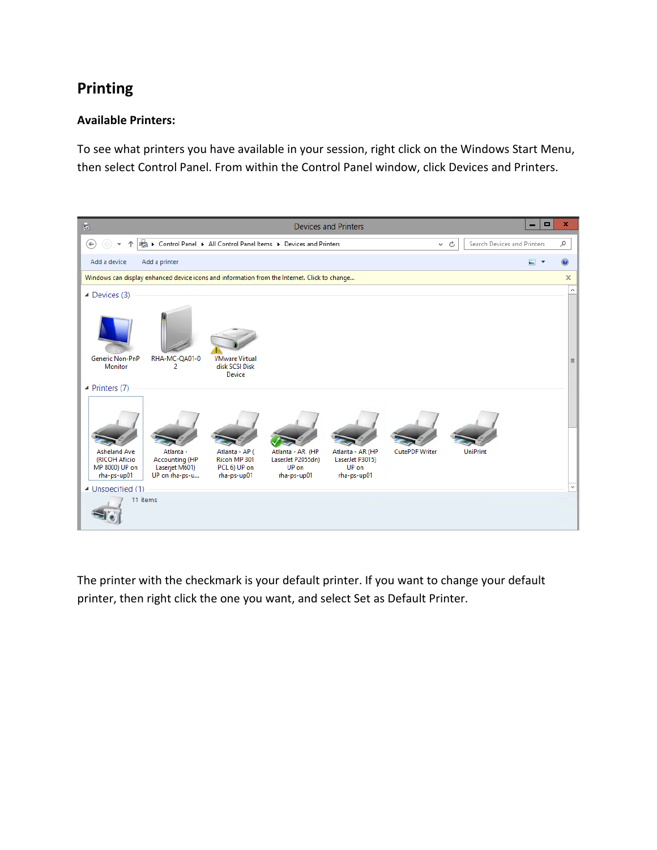## **Printing**

## **Available Printers:**

To see what printers you have available in your session, right click on the Windows Start Menu, then select Control Panel. From within the Control Panel window, click Devices and Printers.



The printer with the checkmark is your default printer. If you want to change your default printer, then right click the one you want, and select Set as Default Printer.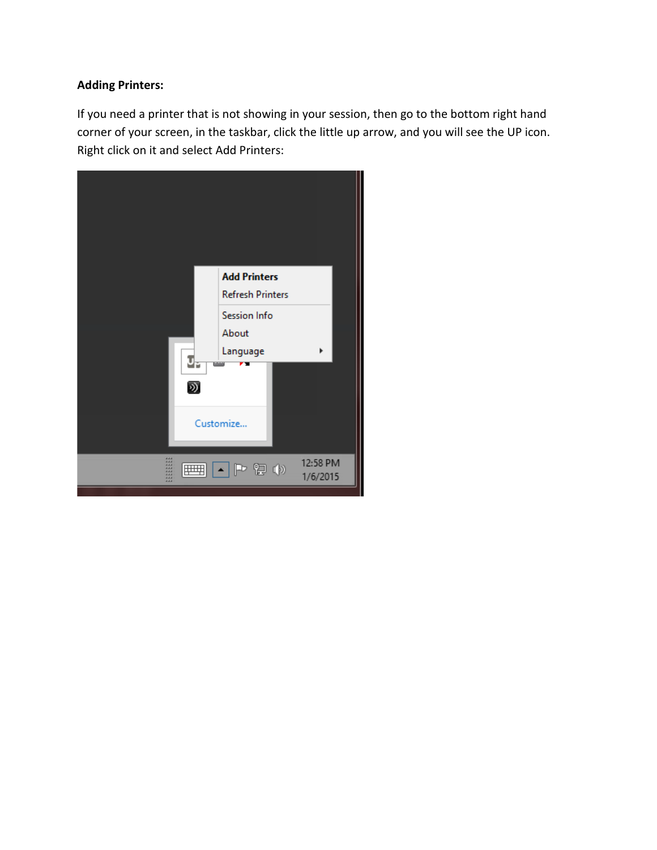## **Adding Printers:**

If you need a printer that is not showing in your session, then go to the bottom right hand corner of your screen, in the taskbar, click the little up arrow, and you will see the UP icon. Right click on it and select Add Printers:

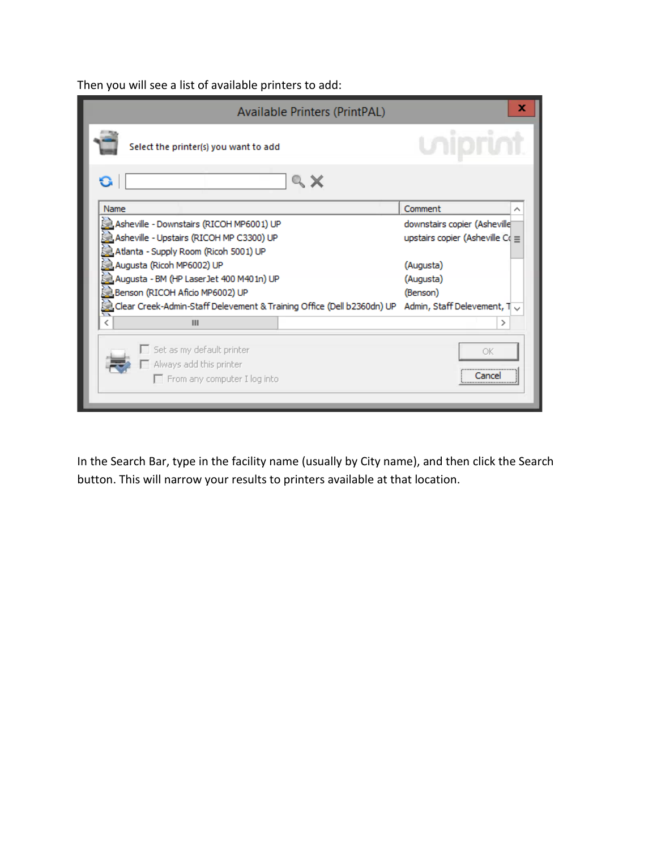Then you will see a list of available printers to add:

| Available Printers (PrintPAL)                                                                                                  | x                                  |
|--------------------------------------------------------------------------------------------------------------------------------|------------------------------------|
| Select the printer(s) you want to add                                                                                          |                                    |
| G<br>Q X                                                                                                                       |                                    |
| Name                                                                                                                           | Comment                            |
| Asheville - Downstairs (RICOH MP6001) UP                                                                                       | downstairs copier (Asheville)      |
| 흷 Asheville - Upstairs (RICOH MP C3300) UP                                                                                     | upstairs copier (Asheville C $\in$ |
| Atlanta - Supply Room (Ricoh 5001) UP                                                                                          |                                    |
| 흽Augusta (Ricoh MP6002) UP                                                                                                     | (Augusta)                          |
| g Augusta - BM (HP LaserJet 400 M401n) UP                                                                                      | (Augusta)                          |
| 흾Benson (RICOH Aficio MP6002) UP                                                                                               | (Benson)                           |
| $\epsilon$ Clear Creek-Admin-Staff Delevement & Training Office (Dell b2360dn) UP $\;$ Admin, Staff Delevement, T $\downarrow$ |                                    |
| Ш                                                                                                                              | ⋗                                  |
| $\Box$ Set as my default printer<br>Always add this printer<br>From any computer I log into                                    | ОK<br><br>Cancel<br>\              |

In the Search Bar, type in the facility name (usually by City name), and then click the Search button. This will narrow your results to printers available at that location.